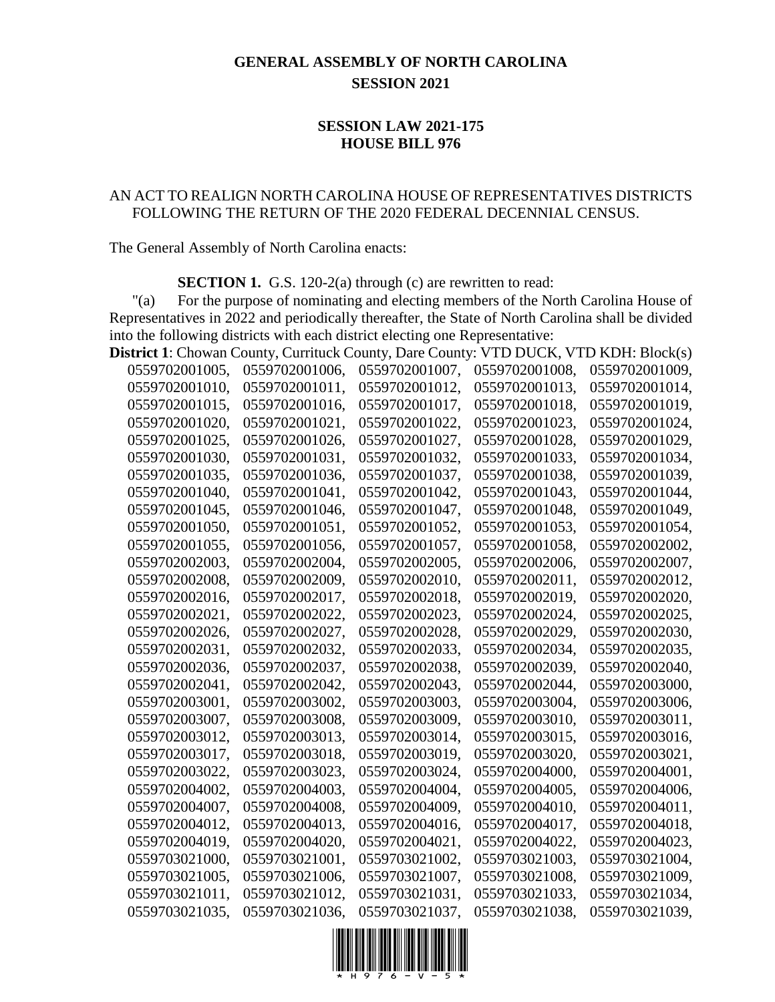## **GENERAL ASSEMBLY OF NORTH CAROLINA SESSION 2021**

## **SESSION LAW 2021-175 HOUSE BILL 976**

## AN ACT TO REALIGN NORTH CAROLINA HOUSE OF REPRESENTATIVES DISTRICTS FOLLOWING THE RETURN OF THE 2020 FEDERAL DECENNIAL CENSUS.

The General Assembly of North Carolina enacts:

**SECTION 1.** G.S. 120-2(a) through (c) are rewritten to read:

"(a) For the purpose of nominating and electing members of the North Carolina House of Representatives in 2022 and periodically thereafter, the State of North Carolina shall be divided into the following districts with each district electing one Representative:

| <b>District 1:</b> Chowan County, Currituck County, Dare County: VTD DUCK, VTD KDH: Block(s) |                |                |                |                |
|----------------------------------------------------------------------------------------------|----------------|----------------|----------------|----------------|
| 0559702001005,                                                                               | 0559702001006, | 0559702001007, | 0559702001008, | 0559702001009, |
| 0559702001010,                                                                               | 0559702001011, | 0559702001012, | 0559702001013, | 0559702001014, |
| 0559702001015,                                                                               | 0559702001016, | 0559702001017, | 0559702001018, | 0559702001019, |
| 0559702001020,                                                                               | 0559702001021, | 0559702001022, | 0559702001023, | 0559702001024, |
| 0559702001025,                                                                               | 0559702001026, | 0559702001027, | 0559702001028, | 0559702001029, |
| 0559702001030,                                                                               | 0559702001031, | 0559702001032, | 0559702001033, | 0559702001034, |
| 0559702001035,                                                                               | 0559702001036, | 0559702001037, | 0559702001038, | 0559702001039, |
| 0559702001040,                                                                               | 0559702001041, | 0559702001042, | 0559702001043, | 0559702001044, |
| 0559702001045,                                                                               | 0559702001046, | 0559702001047, | 0559702001048, | 0559702001049, |
| 0559702001050,                                                                               | 0559702001051, | 0559702001052, | 0559702001053, | 0559702001054, |
| 0559702001055,                                                                               | 0559702001056, | 0559702001057, | 0559702001058, | 0559702002002. |
| 0559702002003,                                                                               | 0559702002004, | 0559702002005, | 0559702002006, | 0559702002007, |
| 0559702002008,                                                                               | 0559702002009, | 0559702002010, | 0559702002011, | 0559702002012, |
| 0559702002016,                                                                               | 0559702002017, | 0559702002018, | 0559702002019, | 0559702002020, |
| 0559702002021,                                                                               | 0559702002022, | 0559702002023, | 0559702002024, | 0559702002025, |
| 0559702002026,                                                                               | 0559702002027, | 0559702002028, | 0559702002029, | 0559702002030, |
| 0559702002031,                                                                               | 0559702002032, | 0559702002033, | 0559702002034, | 0559702002035, |
| 0559702002036,                                                                               | 0559702002037, | 0559702002038, | 0559702002039, | 0559702002040, |
| 0559702002041,                                                                               | 0559702002042, | 0559702002043, | 0559702002044, | 0559702003000, |
| 0559702003001,                                                                               | 0559702003002, | 0559702003003, | 0559702003004, | 0559702003006, |
| 0559702003007,                                                                               | 0559702003008, | 0559702003009, | 0559702003010, | 0559702003011, |
| 0559702003012,                                                                               | 0559702003013, | 0559702003014, | 0559702003015, | 0559702003016, |
| 0559702003017,                                                                               | 0559702003018, | 0559702003019, | 0559702003020, | 0559702003021, |
| 0559702003022,                                                                               | 0559702003023, | 0559702003024, | 0559702004000, | 0559702004001, |
| 0559702004002,                                                                               | 0559702004003, | 0559702004004, | 0559702004005, | 0559702004006, |
| 0559702004007,                                                                               | 0559702004008, | 0559702004009, | 0559702004010, | 0559702004011, |
| 0559702004012,                                                                               | 0559702004013, | 0559702004016, | 0559702004017, | 0559702004018, |
| 0559702004019,                                                                               | 0559702004020, | 0559702004021, | 0559702004022, | 0559702004023, |
| 0559703021000,                                                                               | 0559703021001, | 0559703021002, | 0559703021003, | 0559703021004, |
| 0559703021005,                                                                               | 0559703021006, | 0559703021007, | 0559703021008, | 0559703021009, |
| 0559703021011,                                                                               | 0559703021012, | 0559703021031, | 0559703021033, | 0559703021034, |
| 0559703021035.                                                                               | 0559703021036. | 0559703021037. | 0559703021038. | 0559703021039. |

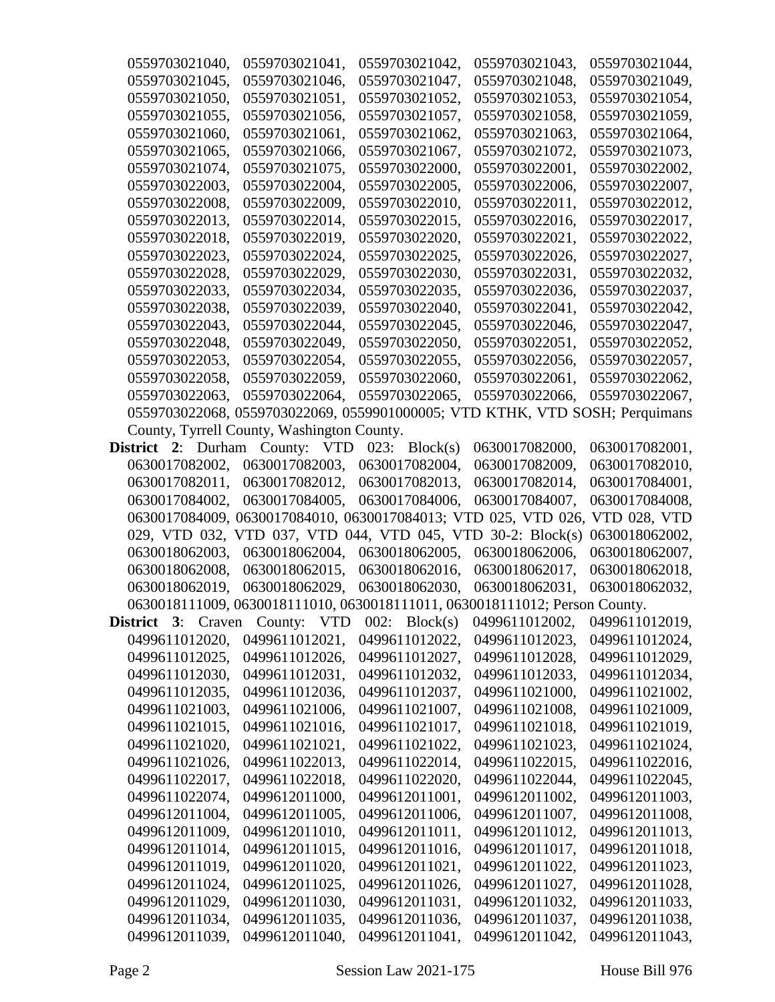| 0559703021040,                                                           | 0559703021041,                               | 0559703021042,  | 0559703021043,                                                              | 0559703021044, |
|--------------------------------------------------------------------------|----------------------------------------------|-----------------|-----------------------------------------------------------------------------|----------------|
| 0559703021045,                                                           | 0559703021046,                               | 0559703021047,  | 0559703021048,                                                              | 0559703021049. |
| 0559703021050,                                                           | 0559703021051,                               | 0559703021052,  | 0559703021053,                                                              | 0559703021054, |
| 0559703021055,                                                           | 0559703021056,                               | 0559703021057,  | 0559703021058,                                                              | 0559703021059, |
| 0559703021060,                                                           | 0559703021061,                               | 0559703021062,  | 0559703021063,                                                              | 0559703021064, |
| 0559703021065,                                                           | 0559703021066,                               | 0559703021067,  | 0559703021072,                                                              | 0559703021073, |
| 0559703021074,                                                           | 0559703021075,                               | 0559703022000,  | 0559703022001,                                                              | 0559703022002, |
| 0559703022003,                                                           | 0559703022004,                               | 0559703022005,  | 0559703022006.                                                              | 0559703022007. |
| 0559703022008.                                                           | 0559703022009,                               | 0559703022010,  | 0559703022011,                                                              | 0559703022012, |
| 0559703022013.                                                           | 0559703022014,                               | 0559703022015.  | 0559703022016,                                                              | 0559703022017, |
| 0559703022018,                                                           | 0559703022019,                               | 0559703022020,  | 0559703022021,                                                              | 0559703022022, |
| 0559703022023,                                                           | 0559703022024,                               | 0559703022025,  | 0559703022026,                                                              | 0559703022027, |
| 0559703022028,                                                           | 0559703022029,                               | 0559703022030,  | 0559703022031,                                                              | 0559703022032, |
| 0559703022033,                                                           | 0559703022034,                               | 0559703022035,  | 0559703022036,                                                              | 0559703022037, |
| 0559703022038,                                                           | 0559703022039,                               | 0559703022040,  | 0559703022041,                                                              | 0559703022042. |
| 0559703022043,                                                           | 0559703022044,                               | 0559703022045,  | 0559703022046,                                                              | 0559703022047, |
| 0559703022048,                                                           | 0559703022049,                               | 0559703022050,  | 0559703022051,                                                              | 0559703022052. |
| 0559703022053,                                                           | 0559703022054,                               | 0559703022055,  | 0559703022056,                                                              | 0559703022057, |
| 0559703022058,                                                           | 0559703022059,                               | 0559703022060,  | 0559703022061,                                                              | 0559703022062, |
| 0559703022063.                                                           | 0559703022064,                               | 0559703022065,  | 0559703022066,                                                              | 0559703022067, |
|                                                                          |                                              |                 | 0559703022068, 0559703022069, 0559901000005; VTD KTHK, VTD SOSH; Perquimans |                |
|                                                                          | County, Tyrrell County, Washington County.   |                 |                                                                             |                |
| <b>District 2:</b> Durham County: VTD                                    |                                              | 023: $Block(s)$ | 0630017082000,                                                              | 0630017082001, |
| 0630017082002,                                                           | 0630017082003,                               | 0630017082004,  | 0630017082009,                                                              | 0630017082010, |
| 0630017082011,                                                           | 0630017082012,                               | 0630017082013,  | 0630017082014,                                                              | 0630017084001, |
|                                                                          |                                              |                 |                                                                             |                |
| 0630017084002,                                                           | 0630017084005,                               | 0630017084006,  | 0630017084007,                                                              | 0630017084008, |
|                                                                          |                                              |                 | 0630017084009, 0630017084010, 0630017084013; VTD 025, VTD 026, VTD 028, VTD |                |
|                                                                          | 029, VTD 032, VTD 037, VTD 044, VTD 045, VTD |                 | $30-2$ : Block(s)                                                           | 0630018062002, |
| 0630018062003,                                                           | 0630018062004,                               | 0630018062005,  | 0630018062006,                                                              | 0630018062007, |
| 0630018062008,                                                           | 0630018062015,                               | 0630018062016,  | 0630018062017,                                                              | 0630018062018, |
| 0630018062019,                                                           | 0630018062029.                               | 0630018062030,  | 0630018062031,                                                              | 0630018062032, |
|                                                                          |                                              |                 | 0630018111009, 0630018111010, 0630018111011, 0630018111012; Person County.  |                |
| <b>District 3:</b> Craven County: VTD $002$ : Block(s) $0499611012002$ , |                                              |                 |                                                                             | 0499611012019, |
| 0499611012020,                                                           | 0499611012021,                               | 0499611012022,  | 0499611012023,                                                              | 0499611012024, |
| 0499611012025,                                                           | 0499611012026,                               | 0499611012027,  | 0499611012028,                                                              | 0499611012029, |
| 0499611012030,                                                           | 0499611012031,                               | 0499611012032,  | 0499611012033,                                                              | 0499611012034, |
| 0499611012035,                                                           | 0499611012036,                               | 0499611012037,  | 0499611021000,                                                              | 0499611021002, |
| 0499611021003,                                                           | 0499611021006,                               | 0499611021007,  | 0499611021008,                                                              | 0499611021009, |
| 0499611021015,                                                           | 0499611021016,                               | 0499611021017,  | 0499611021018,                                                              | 0499611021019, |
| 0499611021020,                                                           | 0499611021021,                               | 0499611021022,  | 0499611021023,                                                              | 0499611021024, |
| 0499611021026,                                                           | 0499611022013,                               | 0499611022014,  | 0499611022015,                                                              | 0499611022016, |
| 0499611022017,                                                           | 0499611022018,                               | 0499611022020,  | 0499611022044,                                                              | 0499611022045, |
| 0499611022074,                                                           | 0499612011000,                               | 0499612011001,  | 0499612011002,                                                              | 0499612011003, |
| 0499612011004,                                                           | 0499612011005,                               | 0499612011006,  | 0499612011007,                                                              | 0499612011008, |
| 0499612011009,                                                           | 0499612011010,                               | 0499612011011,  | 0499612011012,                                                              | 0499612011013, |
| 0499612011014,                                                           | 0499612011015,                               | 0499612011016,  | 0499612011017,                                                              | 0499612011018, |
| 0499612011019,                                                           | 0499612011020,                               | 0499612011021,  | 0499612011022,                                                              | 0499612011023, |
| 0499612011024,                                                           | 0499612011025,                               | 0499612011026,  | 0499612011027,                                                              | 0499612011028, |
| 0499612011029,                                                           | 0499612011030,                               | 0499612011031,  | 0499612011032,                                                              | 0499612011033, |
| 0499612011034,                                                           | 0499612011035,                               | 0499612011036,  | 0499612011037,                                                              | 0499612011038, |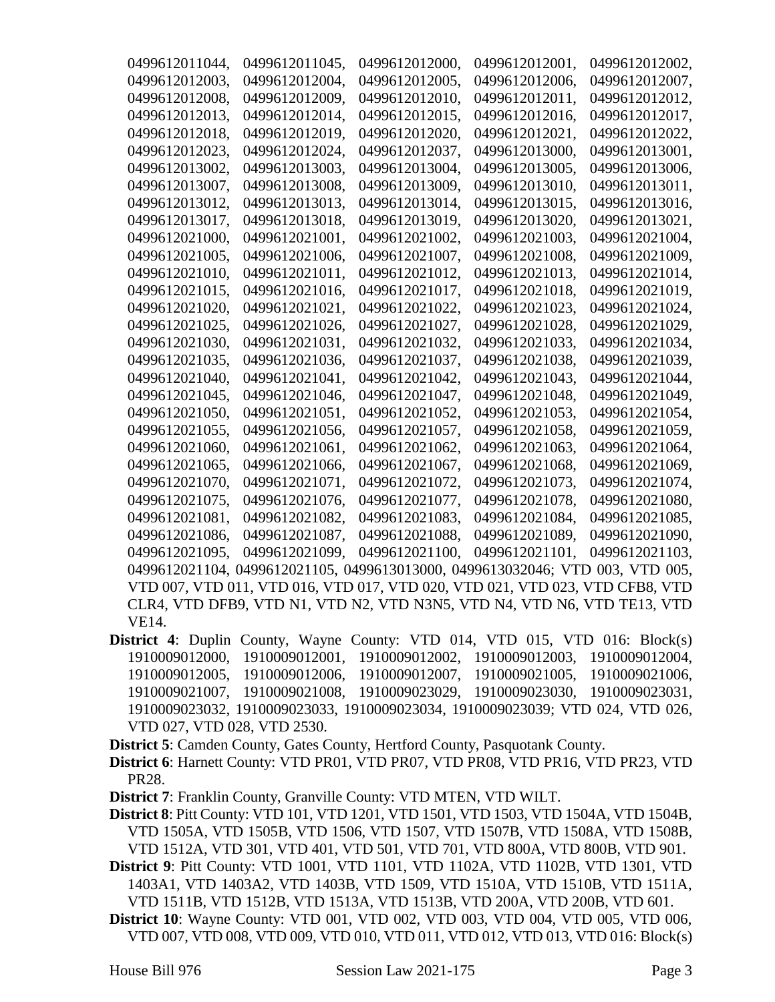| 0499612011044, | 0499612011045,                                                                | 0499612012000, | 0499612012001, | 0499612012002, |
|----------------|-------------------------------------------------------------------------------|----------------|----------------|----------------|
| 0499612012003, | 0499612012004,                                                                | 0499612012005, | 0499612012006, | 0499612012007, |
| 0499612012008, | 0499612012009,                                                                | 0499612012010, | 0499612012011, | 0499612012012, |
| 0499612012013, | 0499612012014,                                                                | 0499612012015, | 0499612012016, | 0499612012017, |
| 0499612012018, | 0499612012019,                                                                | 0499612012020, | 0499612012021, | 0499612012022. |
| 0499612012023, | 0499612012024,                                                                | 0499612012037, | 0499612013000, | 0499612013001, |
| 0499612013002, | 0499612013003,                                                                | 0499612013004, | 0499612013005, | 0499612013006, |
| 0499612013007, | 0499612013008,                                                                | 0499612013009, | 0499612013010. | 0499612013011, |
| 0499612013012, | 0499612013013,                                                                | 0499612013014, | 0499612013015. | 0499612013016. |
| 0499612013017, | 0499612013018.                                                                | 0499612013019. | 0499612013020, | 0499612013021, |
| 0499612021000, | 0499612021001,                                                                | 0499612021002, | 0499612021003, | 0499612021004, |
| 0499612021005, | 0499612021006,                                                                | 0499612021007, | 0499612021008, | 0499612021009, |
| 0499612021010, | 0499612021011,                                                                | 0499612021012, | 0499612021013. | 0499612021014, |
| 0499612021015, | 0499612021016,                                                                | 0499612021017, | 0499612021018, | 0499612021019, |
| 0499612021020, | 0499612021021,                                                                | 0499612021022, | 0499612021023, | 0499612021024, |
| 0499612021025, | 0499612021026,                                                                | 0499612021027, | 0499612021028, | 0499612021029, |
| 0499612021030, | 0499612021031,                                                                | 0499612021032, | 0499612021033, | 0499612021034, |
| 0499612021035, | 0499612021036,                                                                | 0499612021037, | 0499612021038, | 0499612021039, |
| 0499612021040, | 0499612021041,                                                                | 0499612021042, | 0499612021043. | 0499612021044, |
| 0499612021045, | 0499612021046,                                                                | 0499612021047, | 0499612021048, | 0499612021049, |
| 0499612021050, | 0499612021051,                                                                | 0499612021052, | 0499612021053, | 0499612021054, |
| 0499612021055, | 0499612021056,                                                                | 0499612021057, | 0499612021058, | 0499612021059, |
| 0499612021060, | 0499612021061,                                                                | 0499612021062, | 0499612021063, | 0499612021064, |
| 0499612021065, | 0499612021066,                                                                | 0499612021067, | 0499612021068, | 0499612021069. |
| 0499612021070, | 0499612021071,                                                                | 0499612021072, | 0499612021073, | 0499612021074, |
| 0499612021075, | 0499612021076,                                                                | 0499612021077, | 0499612021078, | 0499612021080, |
| 0499612021081, | 0499612021082,                                                                | 0499612021083, | 0499612021084, | 0499612021085, |
| 0499612021086, | 0499612021087.                                                                | 0499612021088. | 0499612021089. | 0499612021090, |
| 0499612021095, | 0499612021099,                                                                | 0499612021100, | 0499612021101, | 0499612021103, |
|                | 0499612021104, 0499612021105, 0499613013000, 0499613032046; VTD 003, VTD 005, |                |                |                |
|                | VTD 007, VTD 011, VTD 016, VTD 017, VTD 020, VTD 021, VTD 023, VTD CFB8, VTD  |                |                |                |
|                | CLR4, VTD DFB9, VTD N1, VTD N2, VTD N3N5, VTD N4, VTD N6, VTD TE13, VTD       |                |                |                |
| VE14.          |                                                                               |                |                |                |

- **District 4**: Duplin County, Wayne County: VTD 014, VTD 015, VTD 016: Block(s) 1910009012000, 1910009012001, 1910009012002, 1910009012003, 1910009012004, 1910009012005, 1910009012006, 1910009012007, 1910009021005, 1910009021006, 1910009021007, 1910009021008, 1910009023029, 1910009023030, 1910009023031, 1910009023032, 1910009023033, 1910009023034, 1910009023039; VTD 024, VTD 026, VTD 027, VTD 028, VTD 2530.
- **District 5**: Camden County, Gates County, Hertford County, Pasquotank County.

**District 6**: Harnett County: VTD PR01, VTD PR07, VTD PR08, VTD PR16, VTD PR23, VTD PR28.

**District 7**: Franklin County, Granville County: VTD MTEN, VTD WILT.

**District 8**: Pitt County: VTD 101, VTD 1201, VTD 1501, VTD 1503, VTD 1504A, VTD 1504B, VTD 1505A, VTD 1505B, VTD 1506, VTD 1507, VTD 1507B, VTD 1508A, VTD 1508B, VTD 1512A, VTD 301, VTD 401, VTD 501, VTD 701, VTD 800A, VTD 800B, VTD 901.

**District 9**: Pitt County: VTD 1001, VTD 1101, VTD 1102A, VTD 1102B, VTD 1301, VTD 1403A1, VTD 1403A2, VTD 1403B, VTD 1509, VTD 1510A, VTD 1510B, VTD 1511A, VTD 1511B, VTD 1512B, VTD 1513A, VTD 1513B, VTD 200A, VTD 200B, VTD 601.

**District 10**: Wayne County: VTD 001, VTD 002, VTD 003, VTD 004, VTD 005, VTD 006, VTD 007, VTD 008, VTD 009, VTD 010, VTD 011, VTD 012, VTD 013, VTD 016: Block(s)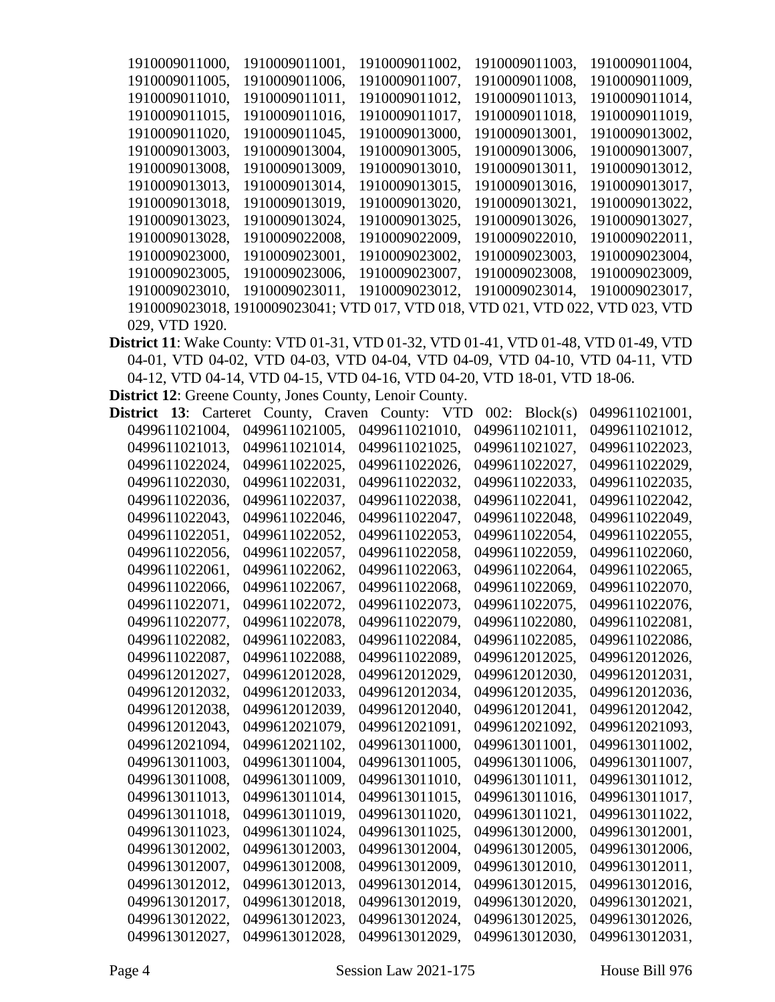| 1910009011000, | 1910009011001.                                                                 | 1910009011002. | 1910009011003. | 1910009011004, |
|----------------|--------------------------------------------------------------------------------|----------------|----------------|----------------|
| 1910009011005. | 1910009011006.                                                                 | 1910009011007. | 1910009011008. | 1910009011009, |
| 1910009011010. | 1910009011011.                                                                 | 1910009011012. | 1910009011013. | 1910009011014, |
| 1910009011015, | 1910009011016.                                                                 | 1910009011017. | 1910009011018, | 1910009011019, |
| 1910009011020, | 1910009011045.                                                                 | 1910009013000. | 1910009013001, | 1910009013002. |
| 1910009013003, | 1910009013004,                                                                 | 1910009013005. | 1910009013006. | 1910009013007. |
| 1910009013008. | 1910009013009.                                                                 | 1910009013010. | 1910009013011, | 1910009013012. |
| 1910009013013. | 1910009013014,                                                                 | 1910009013015. | 1910009013016. | 1910009013017. |
| 1910009013018. | 1910009013019.                                                                 | 1910009013020, | 1910009013021, | 1910009013022, |
| 1910009013023. | 1910009013024,                                                                 | 1910009013025, | 1910009013026, | 1910009013027. |
| 1910009013028. | 1910009022008.                                                                 | 1910009022009. | 1910009022010. | 1910009022011, |
| 1910009023000, | 1910009023001.                                                                 | 1910009023002, | 1910009023003. | 1910009023004, |
| 1910009023005, | 1910009023006.                                                                 | 1910009023007. | 1910009023008. | 1910009023009. |
| 1910009023010. | 1910009023011,                                                                 | 1910009023012, | 1910009023014, | 1910009023017. |
|                | 1910009023018, 1910009023041; VTD 017, VTD 018, VTD 021, VTD 022, VTD 023, VTD |                |                |                |
| 029, VTD 1920. |                                                                                |                |                |                |

**District 11**: Wake County: VTD 01-31, VTD 01-32, VTD 01-41, VTD 01-48, VTD 01-49, VTD 04-01, VTD 04-02, VTD 04-03, VTD 04-04, VTD 04-09, VTD 04-10, VTD 04-11, VTD 04-12, VTD 04-14, VTD 04-15, VTD 04-16, VTD 04-20, VTD 18-01, VTD 18-06.

**District 12**: Greene County, Jones County, Lenoir County.

| District       | 13: | Carteret County, Craven |  |                | County: VTD | 002: | Block(s)       |  | 0499611021001, |  |
|----------------|-----|-------------------------|--|----------------|-------------|------|----------------|--|----------------|--|
| 0499611021004, |     | 0499611021005,          |  | 0499611021010, |             |      | 0499611021011, |  | 0499611021012, |  |
| 0499611021013. |     | 0499611021014,          |  | 0499611021025, |             |      | 0499611021027, |  | 0499611022023, |  |
| 0499611022024, |     | 0499611022025,          |  | 0499611022026, |             |      | 0499611022027, |  | 0499611022029, |  |
| 0499611022030, |     | 0499611022031,          |  | 0499611022032, |             |      | 0499611022033, |  | 0499611022035, |  |
| 0499611022036, |     | 0499611022037,          |  | 0499611022038, |             |      | 0499611022041, |  | 0499611022042, |  |
| 0499611022043, |     | 0499611022046,          |  | 0499611022047, |             |      | 0499611022048, |  | 0499611022049, |  |
| 0499611022051, |     | 0499611022052,          |  | 0499611022053, |             |      | 0499611022054, |  | 0499611022055, |  |
| 0499611022056, |     | 0499611022057,          |  | 0499611022058, |             |      | 0499611022059, |  | 0499611022060, |  |
| 0499611022061, |     | 0499611022062,          |  | 0499611022063, |             |      | 0499611022064, |  | 0499611022065, |  |
| 0499611022066, |     | 0499611022067,          |  | 0499611022068, |             |      | 0499611022069, |  | 0499611022070, |  |
| 0499611022071, |     | 0499611022072,          |  | 0499611022073, |             |      | 0499611022075, |  | 0499611022076, |  |
| 0499611022077, |     | 0499611022078,          |  | 0499611022079, |             |      | 0499611022080, |  | 0499611022081, |  |
| 0499611022082, |     | 0499611022083,          |  | 0499611022084, |             |      | 0499611022085, |  | 0499611022086, |  |
| 0499611022087, |     | 0499611022088,          |  | 0499611022089. |             |      | 0499612012025, |  | 0499612012026, |  |
| 0499612012027, |     | 0499612012028,          |  | 0499612012029, |             |      | 0499612012030, |  | 0499612012031, |  |
| 0499612012032, |     | 0499612012033,          |  | 0499612012034, |             |      | 0499612012035, |  | 0499612012036, |  |
| 0499612012038, |     | 0499612012039,          |  | 0499612012040, |             |      | 0499612012041, |  | 0499612012042, |  |
| 0499612012043, |     | 0499612021079,          |  | 0499612021091, |             |      | 0499612021092, |  | 0499612021093, |  |
| 0499612021094, |     | 0499612021102,          |  | 0499613011000, |             |      | 0499613011001, |  | 0499613011002, |  |
| 0499613011003, |     | 0499613011004,          |  | 0499613011005, |             |      | 0499613011006, |  | 0499613011007, |  |
| 0499613011008, |     | 0499613011009,          |  | 0499613011010, |             |      | 0499613011011, |  | 0499613011012, |  |
| 0499613011013, |     | 0499613011014,          |  | 0499613011015, |             |      | 0499613011016, |  | 0499613011017, |  |
| 0499613011018, |     | 0499613011019,          |  | 0499613011020, |             |      | 0499613011021, |  | 0499613011022, |  |
| 0499613011023, |     | 0499613011024,          |  | 0499613011025, |             |      | 0499613012000, |  | 0499613012001, |  |
| 0499613012002, |     | 0499613012003,          |  | 0499613012004, |             |      | 0499613012005, |  | 0499613012006, |  |
| 0499613012007, |     | 0499613012008,          |  | 0499613012009. |             |      | 0499613012010, |  | 0499613012011, |  |
| 0499613012012, |     | 0499613012013,          |  | 0499613012014, |             |      | 0499613012015, |  | 0499613012016, |  |
| 0499613012017, |     | 0499613012018,          |  | 0499613012019, |             |      | 0499613012020, |  | 0499613012021, |  |
| 0499613012022, |     | 0499613012023,          |  | 0499613012024, |             |      | 0499613012025, |  | 0499613012026, |  |
| 0499613012027, |     | 0499613012028.          |  | 0499613012029. |             |      | 0499613012030. |  | 0499613012031, |  |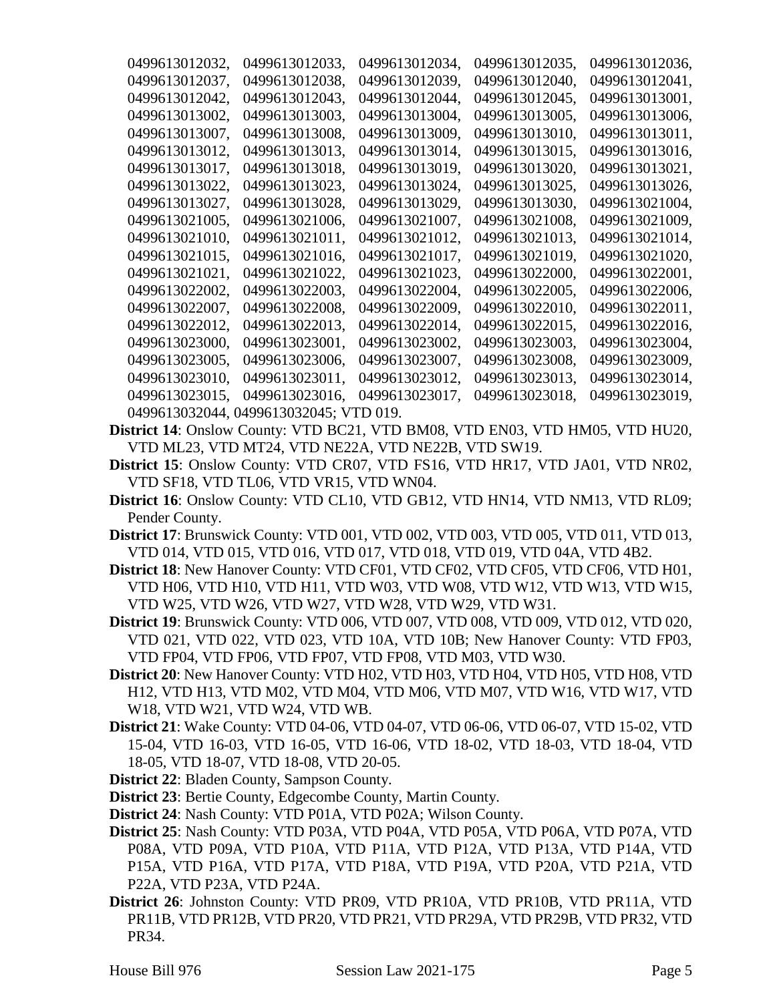| 0499613012033. | 0499613012034, | 0499613012035, | 0499613012036, |
|----------------|----------------|----------------|----------------|
| 0499613012038, | 0499613012039, | 0499613012040. | 0499613012041. |
| 0499613012043. | 0499613012044, | 0499613012045, | 0499613013001, |
| 0499613013003. | 0499613013004, | 0499613013005, | 0499613013006, |
| 0499613013008, | 0499613013009. | 0499613013010. | 0499613013011. |
| 0499613013013. | 0499613013014, | 0499613013015. | 0499613013016. |
| 0499613013018, | 0499613013019. | 0499613013020, | 0499613013021, |
| 0499613013023, | 0499613013024, | 0499613013025, | 0499613013026, |
| 0499613013028, | 0499613013029, | 0499613013030. | 0499613021004, |
| 0499613021006. | 0499613021007, | 0499613021008, | 0499613021009. |
| 0499613021011, | 0499613021012, | 0499613021013, | 0499613021014, |
| 0499613021016, | 0499613021017, | 0499613021019, | 0499613021020, |
| 0499613021022, | 0499613021023, | 0499613022000, | 0499613022001, |
| 0499613022003, | 0499613022004, | 0499613022005. | 0499613022006. |
| 0499613022008, | 0499613022009, | 0499613022010, | 0499613022011, |
| 0499613022013, | 0499613022014, | 0499613022015, | 0499613022016, |
| 0499613023001, | 0499613023002, | 0499613023003, | 0499613023004, |
| 0499613023006, | 0499613023007, | 0499613023008, | 0499613023009, |
| 0499613023011, | 0499613023012, | 0499613023013, | 0499613023014, |
| 0499613023016, | 0499613023017, | 0499613023018, | 0499613023019, |
|                | TD 019.        |                |                |
|                | 0499613032045; |                |                |

- **District 14**: Onslow County: VTD BC21, VTD BM08, VTD EN03, VTD HM05, VTD HU20, VTD ML23, VTD MT24, VTD NE22A, VTD NE22B, VTD SW19.
- **District 15**: Onslow County: VTD CR07, VTD FS16, VTD HR17, VTD JA01, VTD NR02, VTD SF18, VTD TL06, VTD VR15, VTD WN04.
- **District 16**: Onslow County: VTD CL10, VTD GB12, VTD HN14, VTD NM13, VTD RL09; Pender County.
- **District 17**: Brunswick County: VTD 001, VTD 002, VTD 003, VTD 005, VTD 011, VTD 013, VTD 014, VTD 015, VTD 016, VTD 017, VTD 018, VTD 019, VTD 04A, VTD 4B2.
- **District 18**: New Hanover County: VTD CF01, VTD CF02, VTD CF05, VTD CF06, VTD H01, VTD H06, VTD H10, VTD H11, VTD W03, VTD W08, VTD W12, VTD W13, VTD W15, VTD W25, VTD W26, VTD W27, VTD W28, VTD W29, VTD W31.
- **District 19**: Brunswick County: VTD 006, VTD 007, VTD 008, VTD 009, VTD 012, VTD 020, VTD 021, VTD 022, VTD 023, VTD 10A, VTD 10B; New Hanover County: VTD FP03, VTD FP04, VTD FP06, VTD FP07, VTD FP08, VTD M03, VTD W30.
- **District 20**: New Hanover County: VTD H02, VTD H03, VTD H04, VTD H05, VTD H08, VTD H12, VTD H13, VTD M02, VTD M04, VTD M06, VTD M07, VTD W16, VTD W17, VTD W18, VTD W21, VTD W24, VTD WB.
- **District 21**: Wake County: VTD 04-06, VTD 04-07, VTD 06-06, VTD 06-07, VTD 15-02, VTD 15-04, VTD 16-03, VTD 16-05, VTD 16-06, VTD 18-02, VTD 18-03, VTD 18-04, VTD 18-05, VTD 18-07, VTD 18-08, VTD 20-05.
- **District 22**: Bladen County, Sampson County.
- **District 23**: Bertie County, Edgecombe County, Martin County.
- **District 24**: Nash County: VTD P01A, VTD P02A; Wilson County.
- **District 25**: Nash County: VTD P03A, VTD P04A, VTD P05A, VTD P06A, VTD P07A, VTD P08A, VTD P09A, VTD P10A, VTD P11A, VTD P12A, VTD P13A, VTD P14A, VTD P15A, VTD P16A, VTD P17A, VTD P18A, VTD P19A, VTD P20A, VTD P21A, VTD P22A, VTD P23A, VTD P24A.
- **District 26**: Johnston County: VTD PR09, VTD PR10A, VTD PR10B, VTD PR11A, VTD PR11B, VTD PR12B, VTD PR20, VTD PR21, VTD PR29A, VTD PR29B, VTD PR32, VTD PR34.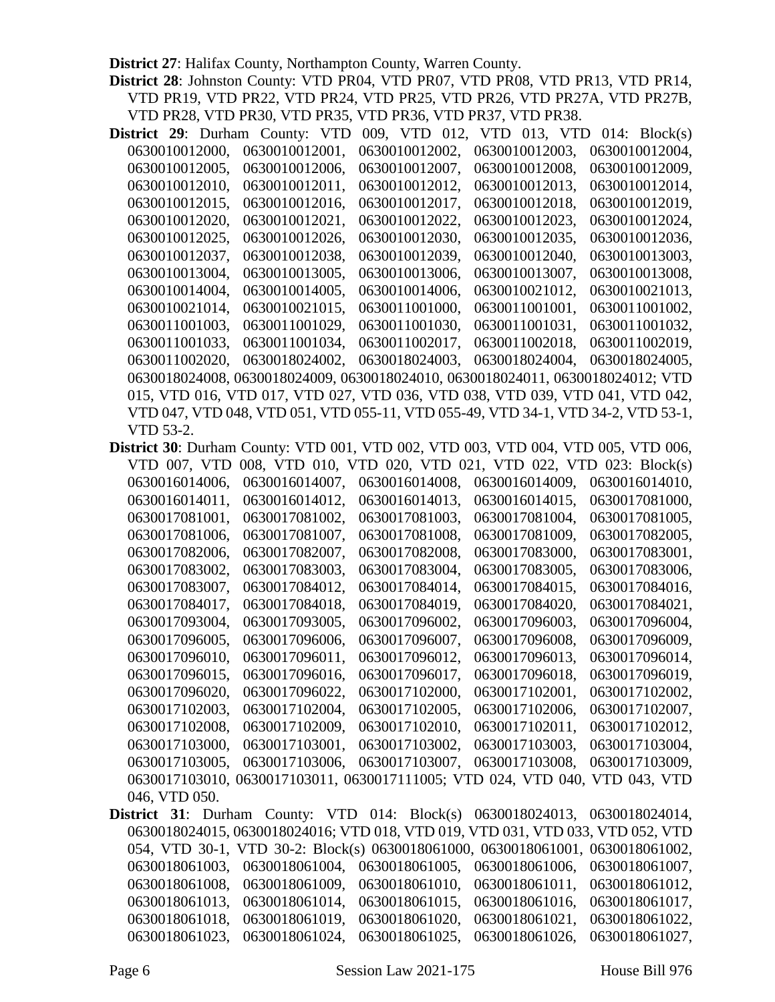**District 27**: Halifax County, Northampton County, Warren County.

**District 28**: Johnston County: VTD PR04, VTD PR07, VTD PR08, VTD PR13, VTD PR14, VTD PR19, VTD PR22, VTD PR24, VTD PR25, VTD PR26, VTD PR27A, VTD PR27B, VTD PR28, VTD PR30, VTD PR35, VTD PR36, VTD PR37, VTD PR38.

- **District 29**: Durham County: VTD 009, VTD 012, VTD 013, VTD 014: Block(s) 0630010012000, 0630010012001, 0630010012002, 0630010012003, 0630010012004, 0630010012005, 0630010012006, 0630010012007, 0630010012008, 0630010012009, 0630010012010, 0630010012011, 0630010012012, 0630010012013, 0630010012014, 0630010012015, 0630010012016, 0630010012017, 0630010012018, 0630010012019, 0630010012020, 0630010012021, 0630010012022, 0630010012023, 0630010012024, 0630010012025, 0630010012026, 0630010012030, 0630010012035, 0630010012036, 0630010012037, 0630010012038, 0630010012039, 0630010012040, 0630010013003, 0630010013004, 0630010013005, 0630010013006, 0630010013007, 0630010013008, 0630010014004, 0630010014005, 0630010014006, 0630010021012, 0630010021013, 0630010021014, 0630010021015, 0630011001000, 0630011001001, 0630011001002, 0630011001003, 0630011001029, 0630011001030, 0630011001031, 0630011001032, 0630011001033, 0630011001034, 0630011002017, 0630011002018, 0630011002019, 0630011002020, 0630018024002, 0630018024003, 0630018024004, 0630018024005, 0630018024008, 0630018024009, 0630018024010, 0630018024011, 0630018024012; VTD 015, VTD 016, VTD 017, VTD 027, VTD 036, VTD 038, VTD 039, VTD 041, VTD 042, VTD 047, VTD 048, VTD 051, VTD 055-11, VTD 055-49, VTD 34-1, VTD 34-2, VTD 53-1, VTD 53-2.
- **District 30**: Durham County: VTD 001, VTD 002, VTD 003, VTD 004, VTD 005, VTD 006, VTD 007, VTD 008, VTD 010, VTD 020, VTD 021, VTD 022, VTD 023: Block(s) 0630016014006, 0630016014007, 0630016014008, 0630016014009, 0630016014010, 0630016014011, 0630016014012, 0630016014013, 0630016014015, 0630017081000, 0630017081001, 0630017081002, 0630017081003, 0630017081004, 0630017081005, 0630017081006, 0630017081007, 0630017081008, 0630017081009, 0630017082005, 0630017082006, 0630017082007, 0630017082008, 0630017083000, 0630017083001, 0630017083002, 0630017083003, 0630017083004, 0630017083005, 0630017083006, 0630017083007, 0630017084012, 0630017084014, 0630017084015, 0630017084016, 0630017084017, 0630017084018, 0630017084019, 0630017084020, 0630017084021, 0630017093004, 0630017093005, 0630017096002, 0630017096003, 0630017096004, 0630017096005, 0630017096006, 0630017096007, 0630017096008, 0630017096009, 0630017096010, 0630017096011, 0630017096012, 0630017096013, 0630017096014, 0630017096015, 0630017096016, 0630017096017, 0630017096018, 0630017096019, 0630017096020, 0630017096022, 0630017102000, 0630017102001, 0630017102002, 0630017102003, 0630017102004, 0630017102005, 0630017102006, 0630017102007, 0630017102008, 0630017102009, 0630017102010, 0630017102011, 0630017102012, 0630017103000, 0630017103001, 0630017103002, 0630017103003, 0630017103004, 0630017103005, 0630017103006, 0630017103007, 0630017103008, 0630017103009, 0630017103010, 0630017103011, 0630017111005; VTD 024, VTD 040, VTD 043, VTD 046, VTD 050.
- **District 31**: Durham County: VTD 014: Block(s) 0630018024013, 0630018024014, 0630018024015, 0630018024016; VTD 018, VTD 019, VTD 031, VTD 033, VTD 052, VTD 054, VTD 30-1, VTD 30-2: Block(s) 0630018061000, 0630018061001, 0630018061002, 0630018061003, 0630018061004, 0630018061005, 0630018061006, 0630018061007, 0630018061008, 0630018061009, 0630018061010, 0630018061011, 0630018061012, 0630018061013, 0630018061014, 0630018061015, 0630018061016, 0630018061017, 0630018061018, 0630018061019, 0630018061020, 0630018061021, 0630018061022, 0630018061023, 0630018061024, 0630018061025, 0630018061026, 0630018061027,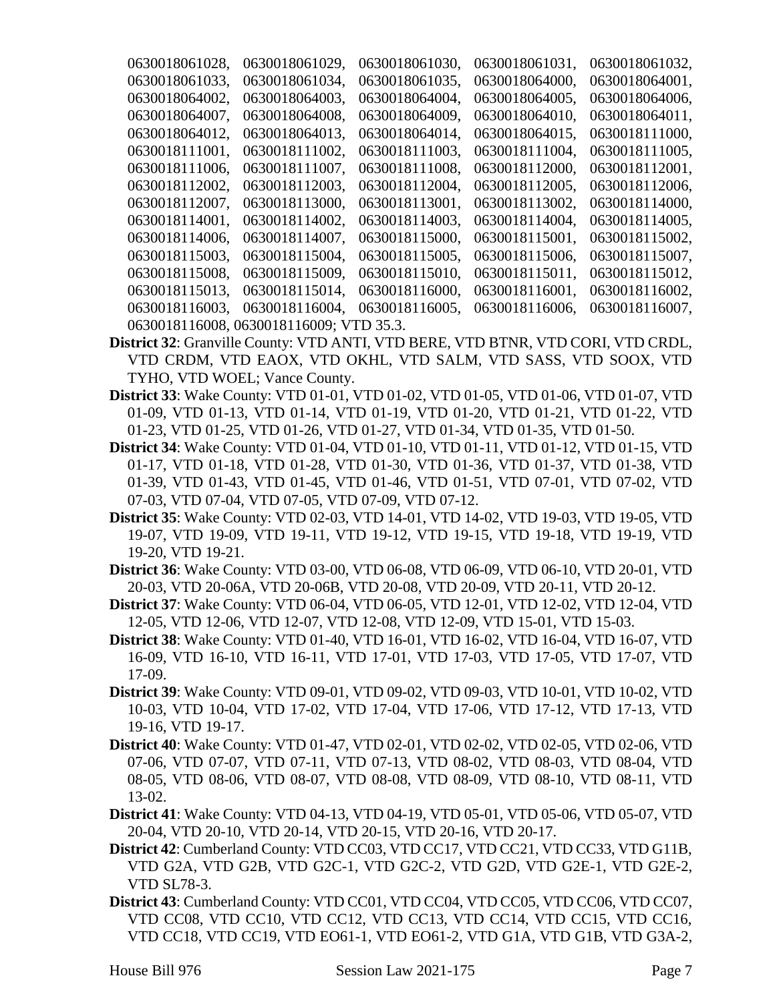| 0630018061028, | 0630018061029,                          | 0630018061030, | 0630018061031, | 0630018061032, |
|----------------|-----------------------------------------|----------------|----------------|----------------|
| 0630018061033. | 0630018061034,                          | 0630018061035, | 0630018064000, | 0630018064001, |
| 0630018064002. | 0630018064003.                          | 0630018064004, | 0630018064005, | 0630018064006, |
| 0630018064007. | 0630018064008.                          | 0630018064009. | 0630018064010, | 0630018064011, |
| 0630018064012. | 0630018064013.                          | 0630018064014, | 0630018064015, | 0630018111000. |
| 0630018111001. | 0630018111002.                          | 0630018111003. | 0630018111004, | 0630018111005, |
| 0630018111006, | 0630018111007,                          | 0630018111008. | 0630018112000, | 0630018112001, |
| 0630018112002, | 0630018112003.                          | 0630018112004, | 0630018112005, | 0630018112006, |
| 0630018112007. | 0630018113000,                          | 0630018113001, | 0630018113002. | 0630018114000, |
| 0630018114001, | 0630018114002,                          | 0630018114003. | 0630018114004, | 0630018114005, |
| 0630018114006, | 0630018114007,                          | 0630018115000, | 0630018115001, | 0630018115002, |
| 0630018115003. | 0630018115004,                          | 0630018115005. | 0630018115006, | 0630018115007, |
| 0630018115008. | 0630018115009,                          | 0630018115010. | 0630018115011, | 0630018115012. |
| 0630018115013. | 0630018115014,                          | 0630018116000, | 0630018116001, | 0630018116002. |
| 0630018116003, | 0630018116004,                          | 0630018116005, | 0630018116006. | 0630018116007, |
|                | 0630018116008, 0630018116009; VTD 35.3. |                |                |                |

- **District 32**: Granville County: VTD ANTI, VTD BERE, VTD BTNR, VTD CORI, VTD CRDL, VTD CRDM, VTD EAOX, VTD OKHL, VTD SALM, VTD SASS, VTD SOOX, VTD TYHO, VTD WOEL; Vance County.
- **District 33**: Wake County: VTD 01-01, VTD 01-02, VTD 01-05, VTD 01-06, VTD 01-07, VTD 01-09, VTD 01-13, VTD 01-14, VTD 01-19, VTD 01-20, VTD 01-21, VTD 01-22, VTD 01-23, VTD 01-25, VTD 01-26, VTD 01-27, VTD 01-34, VTD 01-35, VTD 01-50.
- **District 34**: Wake County: VTD 01-04, VTD 01-10, VTD 01-11, VTD 01-12, VTD 01-15, VTD 01-17, VTD 01-18, VTD 01-28, VTD 01-30, VTD 01-36, VTD 01-37, VTD 01-38, VTD 01-39, VTD 01-43, VTD 01-45, VTD 01-46, VTD 01-51, VTD 07-01, VTD 07-02, VTD 07-03, VTD 07-04, VTD 07-05, VTD 07-09, VTD 07-12.
- **District 35**: Wake County: VTD 02-03, VTD 14-01, VTD 14-02, VTD 19-03, VTD 19-05, VTD 19-07, VTD 19-09, VTD 19-11, VTD 19-12, VTD 19-15, VTD 19-18, VTD 19-19, VTD 19-20, VTD 19-21.
- **District 36**: Wake County: VTD 03-00, VTD 06-08, VTD 06-09, VTD 06-10, VTD 20-01, VTD 20-03, VTD 20-06A, VTD 20-06B, VTD 20-08, VTD 20-09, VTD 20-11, VTD 20-12.
- **District 37**: Wake County: VTD 06-04, VTD 06-05, VTD 12-01, VTD 12-02, VTD 12-04, VTD 12-05, VTD 12-06, VTD 12-07, VTD 12-08, VTD 12-09, VTD 15-01, VTD 15-03.
- **District 38**: Wake County: VTD 01-40, VTD 16-01, VTD 16-02, VTD 16-04, VTD 16-07, VTD 16-09, VTD 16-10, VTD 16-11, VTD 17-01, VTD 17-03, VTD 17-05, VTD 17-07, VTD 17-09.
- **District 39**: Wake County: VTD 09-01, VTD 09-02, VTD 09-03, VTD 10-01, VTD 10-02, VTD 10-03, VTD 10-04, VTD 17-02, VTD 17-04, VTD 17-06, VTD 17-12, VTD 17-13, VTD 19-16, VTD 19-17.
- **District 40**: Wake County: VTD 01-47, VTD 02-01, VTD 02-02, VTD 02-05, VTD 02-06, VTD 07-06, VTD 07-07, VTD 07-11, VTD 07-13, VTD 08-02, VTD 08-03, VTD 08-04, VTD 08-05, VTD 08-06, VTD 08-07, VTD 08-08, VTD 08-09, VTD 08-10, VTD 08-11, VTD 13-02.
- **District 41**: Wake County: VTD 04-13, VTD 04-19, VTD 05-01, VTD 05-06, VTD 05-07, VTD 20-04, VTD 20-10, VTD 20-14, VTD 20-15, VTD 20-16, VTD 20-17.
- **District 42**: Cumberland County: VTD CC03, VTD CC17, VTD CC21, VTD CC33, VTD G11B, VTD G2A, VTD G2B, VTD G2C-1, VTD G2C-2, VTD G2D, VTD G2E-1, VTD G2E-2, VTD SL78-3.
- **District 43**: Cumberland County: VTD CC01, VTD CC04, VTD CC05, VTD CC06, VTD CC07, VTD CC08, VTD CC10, VTD CC12, VTD CC13, VTD CC14, VTD CC15, VTD CC16, VTD CC18, VTD CC19, VTD EO61-1, VTD EO61-2, VTD G1A, VTD G1B, VTD G3A-2,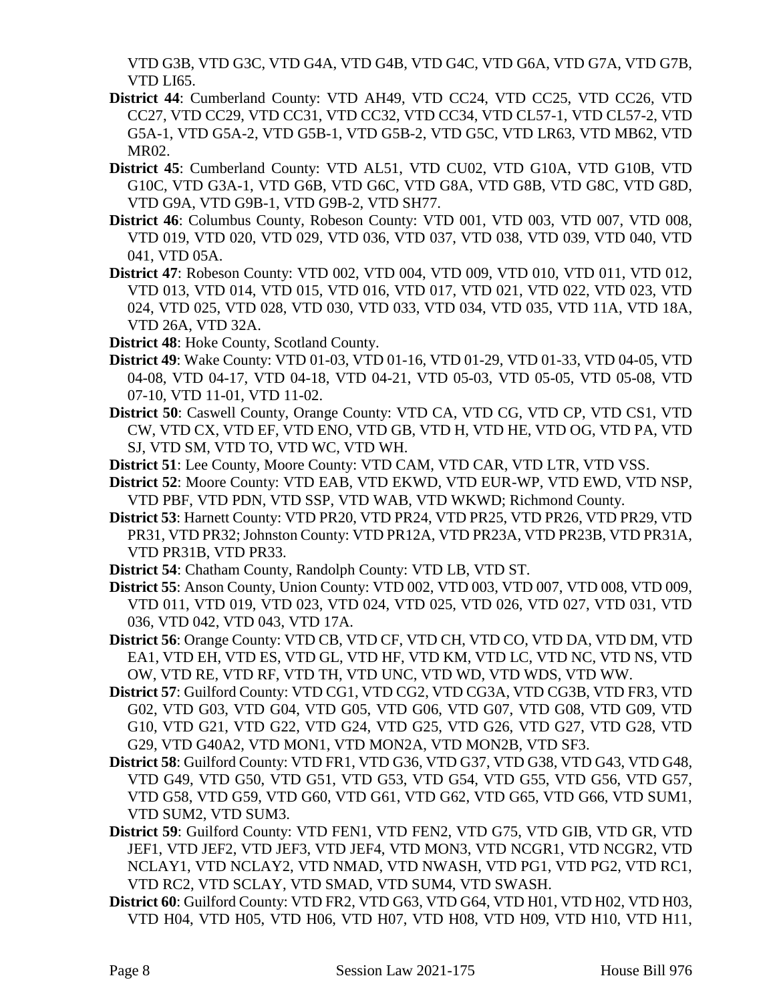VTD G3B, VTD G3C, VTD G4A, VTD G4B, VTD G4C, VTD G6A, VTD G7A, VTD G7B, VTD LI65.

- **District 44**: Cumberland County: VTD AH49, VTD CC24, VTD CC25, VTD CC26, VTD CC27, VTD CC29, VTD CC31, VTD CC32, VTD CC34, VTD CL57-1, VTD CL57-2, VTD G5A-1, VTD G5A-2, VTD G5B-1, VTD G5B-2, VTD G5C, VTD LR63, VTD MB62, VTD MR02.
- **District 45**: Cumberland County: VTD AL51, VTD CU02, VTD G10A, VTD G10B, VTD G10C, VTD G3A-1, VTD G6B, VTD G6C, VTD G8A, VTD G8B, VTD G8C, VTD G8D, VTD G9A, VTD G9B-1, VTD G9B-2, VTD SH77.
- **District 46**: Columbus County, Robeson County: VTD 001, VTD 003, VTD 007, VTD 008, VTD 019, VTD 020, VTD 029, VTD 036, VTD 037, VTD 038, VTD 039, VTD 040, VTD 041, VTD 05A.
- **District 47**: Robeson County: VTD 002, VTD 004, VTD 009, VTD 010, VTD 011, VTD 012, VTD 013, VTD 014, VTD 015, VTD 016, VTD 017, VTD 021, VTD 022, VTD 023, VTD 024, VTD 025, VTD 028, VTD 030, VTD 033, VTD 034, VTD 035, VTD 11A, VTD 18A, VTD 26A, VTD 32A.
- **District 48**: Hoke County, Scotland County.
- **District 49**: Wake County: VTD 01-03, VTD 01-16, VTD 01-29, VTD 01-33, VTD 04-05, VTD 04-08, VTD 04-17, VTD 04-18, VTD 04-21, VTD 05-03, VTD 05-05, VTD 05-08, VTD 07-10, VTD 11-01, VTD 11-02.
- **District 50**: Caswell County, Orange County: VTD CA, VTD CG, VTD CP, VTD CS1, VTD CW, VTD CX, VTD EF, VTD ENO, VTD GB, VTD H, VTD HE, VTD OG, VTD PA, VTD SJ, VTD SM, VTD TO, VTD WC, VTD WH.
- **District 51**: Lee County, Moore County: VTD CAM, VTD CAR, VTD LTR, VTD VSS.
- **District 52**: Moore County: VTD EAB, VTD EKWD, VTD EUR-WP, VTD EWD, VTD NSP, VTD PBF, VTD PDN, VTD SSP, VTD WAB, VTD WKWD; Richmond County.
- **District 53**: Harnett County: VTD PR20, VTD PR24, VTD PR25, VTD PR26, VTD PR29, VTD PR31, VTD PR32; Johnston County: VTD PR12A, VTD PR23A, VTD PR23B, VTD PR31A, VTD PR31B, VTD PR33.
- **District 54**: Chatham County, Randolph County: VTD LB, VTD ST.
- **District 55**: Anson County, Union County: VTD 002, VTD 003, VTD 007, VTD 008, VTD 009, VTD 011, VTD 019, VTD 023, VTD 024, VTD 025, VTD 026, VTD 027, VTD 031, VTD 036, VTD 042, VTD 043, VTD 17A.
- **District 56**: Orange County: VTD CB, VTD CF, VTD CH, VTD CO, VTD DA, VTD DM, VTD EA1, VTD EH, VTD ES, VTD GL, VTD HF, VTD KM, VTD LC, VTD NC, VTD NS, VTD OW, VTD RE, VTD RF, VTD TH, VTD UNC, VTD WD, VTD WDS, VTD WW.
- **District 57**: Guilford County: VTD CG1, VTD CG2, VTD CG3A, VTD CG3B, VTD FR3, VTD G02, VTD G03, VTD G04, VTD G05, VTD G06, VTD G07, VTD G08, VTD G09, VTD G10, VTD G21, VTD G22, VTD G24, VTD G25, VTD G26, VTD G27, VTD G28, VTD G29, VTD G40A2, VTD MON1, VTD MON2A, VTD MON2B, VTD SF3.
- **District 58**: Guilford County: VTD FR1, VTD G36, VTD G37, VTD G38, VTD G43, VTD G48, VTD G49, VTD G50, VTD G51, VTD G53, VTD G54, VTD G55, VTD G56, VTD G57, VTD G58, VTD G59, VTD G60, VTD G61, VTD G62, VTD G65, VTD G66, VTD SUM1, VTD SUM2, VTD SUM3.
- **District 59**: Guilford County: VTD FEN1, VTD FEN2, VTD G75, VTD GIB, VTD GR, VTD JEF1, VTD JEF2, VTD JEF3, VTD JEF4, VTD MON3, VTD NCGR1, VTD NCGR2, VTD NCLAY1, VTD NCLAY2, VTD NMAD, VTD NWASH, VTD PG1, VTD PG2, VTD RC1, VTD RC2, VTD SCLAY, VTD SMAD, VTD SUM4, VTD SWASH.
- **District 60**: Guilford County: VTD FR2, VTD G63, VTD G64, VTD H01, VTD H02, VTD H03, VTD H04, VTD H05, VTD H06, VTD H07, VTD H08, VTD H09, VTD H10, VTD H11,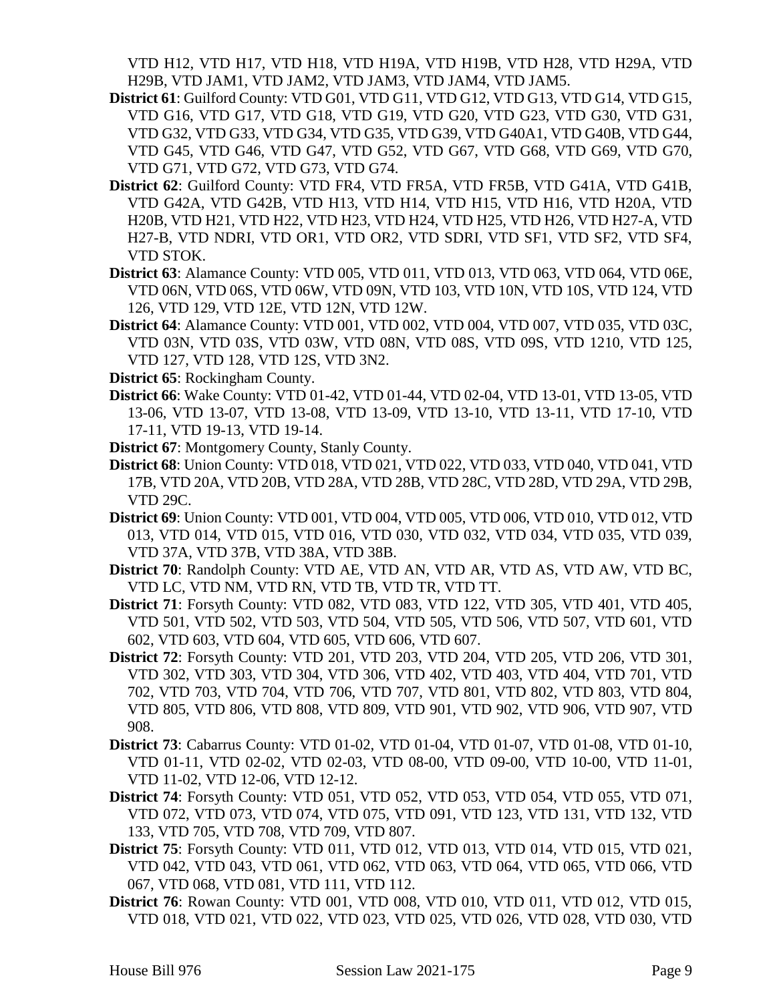VTD H12, VTD H17, VTD H18, VTD H19A, VTD H19B, VTD H28, VTD H29A, VTD H29B, VTD JAM1, VTD JAM2, VTD JAM3, VTD JAM4, VTD JAM5.

- **District 61**: Guilford County: VTD G01, VTD G11, VTD G12, VTD G13, VTD G14, VTD G15, VTD G16, VTD G17, VTD G18, VTD G19, VTD G20, VTD G23, VTD G30, VTD G31, VTD G32, VTD G33, VTD G34, VTD G35, VTD G39, VTD G40A1, VTD G40B, VTD G44, VTD G45, VTD G46, VTD G47, VTD G52, VTD G67, VTD G68, VTD G69, VTD G70, VTD G71, VTD G72, VTD G73, VTD G74.
- **District 62**: Guilford County: VTD FR4, VTD FR5A, VTD FR5B, VTD G41A, VTD G41B, VTD G42A, VTD G42B, VTD H13, VTD H14, VTD H15, VTD H16, VTD H20A, VTD H20B, VTD H21, VTD H22, VTD H23, VTD H24, VTD H25, VTD H26, VTD H27-A, VTD H27-B, VTD NDRI, VTD OR1, VTD OR2, VTD SDRI, VTD SF1, VTD SF2, VTD SF4, VTD STOK.
- **District 63**: Alamance County: VTD 005, VTD 011, VTD 013, VTD 063, VTD 064, VTD 06E, VTD 06N, VTD 06S, VTD 06W, VTD 09N, VTD 103, VTD 10N, VTD 10S, VTD 124, VTD 126, VTD 129, VTD 12E, VTD 12N, VTD 12W.
- **District 64**: Alamance County: VTD 001, VTD 002, VTD 004, VTD 007, VTD 035, VTD 03C, VTD 03N, VTD 03S, VTD 03W, VTD 08N, VTD 08S, VTD 09S, VTD 1210, VTD 125, VTD 127, VTD 128, VTD 12S, VTD 3N2.
- **District 65**: Rockingham County.
- **District 66**: Wake County: VTD 01-42, VTD 01-44, VTD 02-04, VTD 13-01, VTD 13-05, VTD 13-06, VTD 13-07, VTD 13-08, VTD 13-09, VTD 13-10, VTD 13-11, VTD 17-10, VTD 17-11, VTD 19-13, VTD 19-14.
- **District 67**: Montgomery County, Stanly County.
- **District 68**: Union County: VTD 018, VTD 021, VTD 022, VTD 033, VTD 040, VTD 041, VTD 17B, VTD 20A, VTD 20B, VTD 28A, VTD 28B, VTD 28C, VTD 28D, VTD 29A, VTD 29B, VTD 29C.
- **District 69**: Union County: VTD 001, VTD 004, VTD 005, VTD 006, VTD 010, VTD 012, VTD 013, VTD 014, VTD 015, VTD 016, VTD 030, VTD 032, VTD 034, VTD 035, VTD 039, VTD 37A, VTD 37B, VTD 38A, VTD 38B.
- **District 70**: Randolph County: VTD AE, VTD AN, VTD AR, VTD AS, VTD AW, VTD BC, VTD LC, VTD NM, VTD RN, VTD TB, VTD TR, VTD TT.
- **District 71**: Forsyth County: VTD 082, VTD 083, VTD 122, VTD 305, VTD 401, VTD 405, VTD 501, VTD 502, VTD 503, VTD 504, VTD 505, VTD 506, VTD 507, VTD 601, VTD 602, VTD 603, VTD 604, VTD 605, VTD 606, VTD 607.
- **District 72**: Forsyth County: VTD 201, VTD 203, VTD 204, VTD 205, VTD 206, VTD 301, VTD 302, VTD 303, VTD 304, VTD 306, VTD 402, VTD 403, VTD 404, VTD 701, VTD 702, VTD 703, VTD 704, VTD 706, VTD 707, VTD 801, VTD 802, VTD 803, VTD 804, VTD 805, VTD 806, VTD 808, VTD 809, VTD 901, VTD 902, VTD 906, VTD 907, VTD 908.
- **District 73**: Cabarrus County: VTD 01-02, VTD 01-04, VTD 01-07, VTD 01-08, VTD 01-10, VTD 01-11, VTD 02-02, VTD 02-03, VTD 08-00, VTD 09-00, VTD 10-00, VTD 11-01, VTD 11-02, VTD 12-06, VTD 12-12.
- **District 74**: Forsyth County: VTD 051, VTD 052, VTD 053, VTD 054, VTD 055, VTD 071, VTD 072, VTD 073, VTD 074, VTD 075, VTD 091, VTD 123, VTD 131, VTD 132, VTD 133, VTD 705, VTD 708, VTD 709, VTD 807.
- **District 75**: Forsyth County: VTD 011, VTD 012, VTD 013, VTD 014, VTD 015, VTD 021, VTD 042, VTD 043, VTD 061, VTD 062, VTD 063, VTD 064, VTD 065, VTD 066, VTD 067, VTD 068, VTD 081, VTD 111, VTD 112.
- **District 76**: Rowan County: VTD 001, VTD 008, VTD 010, VTD 011, VTD 012, VTD 015, VTD 018, VTD 021, VTD 022, VTD 023, VTD 025, VTD 026, VTD 028, VTD 030, VTD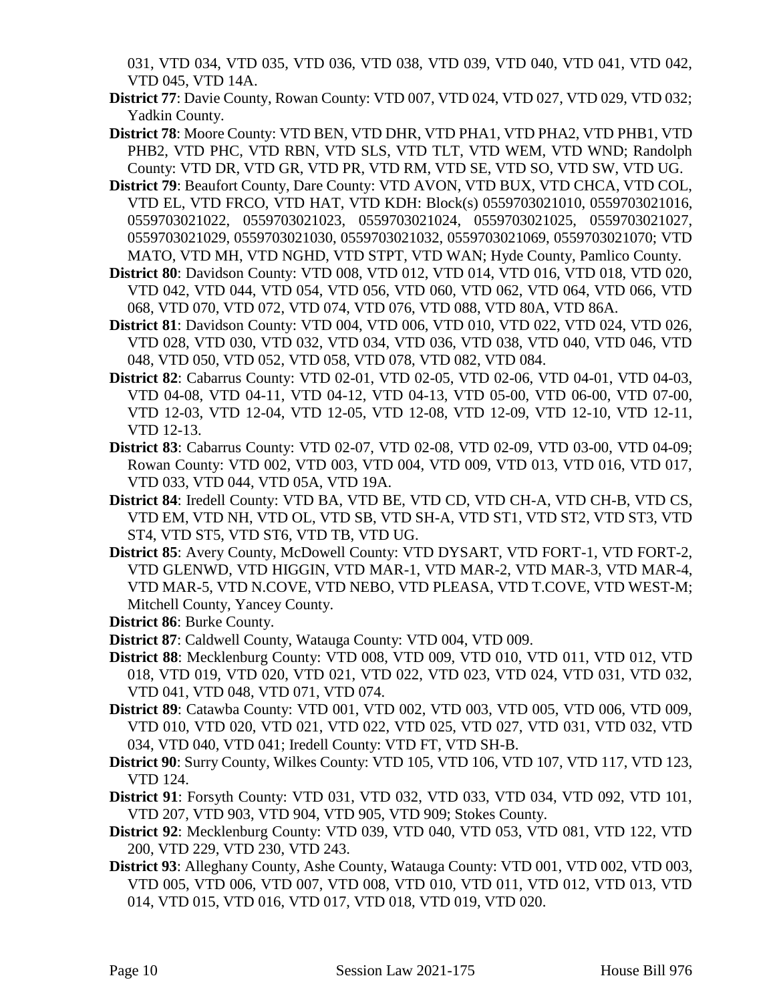031, VTD 034, VTD 035, VTD 036, VTD 038, VTD 039, VTD 040, VTD 041, VTD 042, VTD 045, VTD 14A.

- **District 77**: Davie County, Rowan County: VTD 007, VTD 024, VTD 027, VTD 029, VTD 032; Yadkin County.
- **District 78**: Moore County: VTD BEN, VTD DHR, VTD PHA1, VTD PHA2, VTD PHB1, VTD PHB2, VTD PHC, VTD RBN, VTD SLS, VTD TLT, VTD WEM, VTD WND; Randolph County: VTD DR, VTD GR, VTD PR, VTD RM, VTD SE, VTD SO, VTD SW, VTD UG.
- **District 79**: Beaufort County, Dare County: VTD AVON, VTD BUX, VTD CHCA, VTD COL, VTD EL, VTD FRCO, VTD HAT, VTD KDH: Block(s) 0559703021010, 0559703021016, 0559703021022, 0559703021023, 0559703021024, 0559703021025, 0559703021027, 0559703021029, 0559703021030, 0559703021032, 0559703021069, 0559703021070; VTD MATO, VTD MH, VTD NGHD, VTD STPT, VTD WAN; Hyde County, Pamlico County.
- **District 80**: Davidson County: VTD 008, VTD 012, VTD 014, VTD 016, VTD 018, VTD 020, VTD 042, VTD 044, VTD 054, VTD 056, VTD 060, VTD 062, VTD 064, VTD 066, VTD 068, VTD 070, VTD 072, VTD 074, VTD 076, VTD 088, VTD 80A, VTD 86A.
- **District 81**: Davidson County: VTD 004, VTD 006, VTD 010, VTD 022, VTD 024, VTD 026, VTD 028, VTD 030, VTD 032, VTD 034, VTD 036, VTD 038, VTD 040, VTD 046, VTD 048, VTD 050, VTD 052, VTD 058, VTD 078, VTD 082, VTD 084.
- **District 82**: Cabarrus County: VTD 02-01, VTD 02-05, VTD 02-06, VTD 04-01, VTD 04-03, VTD 04-08, VTD 04-11, VTD 04-12, VTD 04-13, VTD 05-00, VTD 06-00, VTD 07-00, VTD 12-03, VTD 12-04, VTD 12-05, VTD 12-08, VTD 12-09, VTD 12-10, VTD 12-11, VTD 12-13.
- **District 83**: Cabarrus County: VTD 02-07, VTD 02-08, VTD 02-09, VTD 03-00, VTD 04-09; Rowan County: VTD 002, VTD 003, VTD 004, VTD 009, VTD 013, VTD 016, VTD 017, VTD 033, VTD 044, VTD 05A, VTD 19A.
- **District 84**: Iredell County: VTD BA, VTD BE, VTD CD, VTD CH-A, VTD CH-B, VTD CS, VTD EM, VTD NH, VTD OL, VTD SB, VTD SH-A, VTD ST1, VTD ST2, VTD ST3, VTD ST4, VTD ST5, VTD ST6, VTD TB, VTD UG.
- **District 85**: Avery County, McDowell County: VTD DYSART, VTD FORT-1, VTD FORT-2, VTD GLENWD, VTD HIGGIN, VTD MAR-1, VTD MAR-2, VTD MAR-3, VTD MAR-4, VTD MAR-5, VTD N.COVE, VTD NEBO, VTD PLEASA, VTD T.COVE, VTD WEST-M; Mitchell County, Yancey County.
- **District 86**: Burke County.
- **District 87**: Caldwell County, Watauga County: VTD 004, VTD 009.
- **District 88**: Mecklenburg County: VTD 008, VTD 009, VTD 010, VTD 011, VTD 012, VTD 018, VTD 019, VTD 020, VTD 021, VTD 022, VTD 023, VTD 024, VTD 031, VTD 032, VTD 041, VTD 048, VTD 071, VTD 074.
- **District 89**: Catawba County: VTD 001, VTD 002, VTD 003, VTD 005, VTD 006, VTD 009, VTD 010, VTD 020, VTD 021, VTD 022, VTD 025, VTD 027, VTD 031, VTD 032, VTD 034, VTD 040, VTD 041; Iredell County: VTD FT, VTD SH-B.
- **District 90**: Surry County, Wilkes County: VTD 105, VTD 106, VTD 107, VTD 117, VTD 123, VTD 124.
- **District 91**: Forsyth County: VTD 031, VTD 032, VTD 033, VTD 034, VTD 092, VTD 101, VTD 207, VTD 903, VTD 904, VTD 905, VTD 909; Stokes County.
- **District 92**: Mecklenburg County: VTD 039, VTD 040, VTD 053, VTD 081, VTD 122, VTD 200, VTD 229, VTD 230, VTD 243.
- **District 93**: Alleghany County, Ashe County, Watauga County: VTD 001, VTD 002, VTD 003, VTD 005, VTD 006, VTD 007, VTD 008, VTD 010, VTD 011, VTD 012, VTD 013, VTD 014, VTD 015, VTD 016, VTD 017, VTD 018, VTD 019, VTD 020.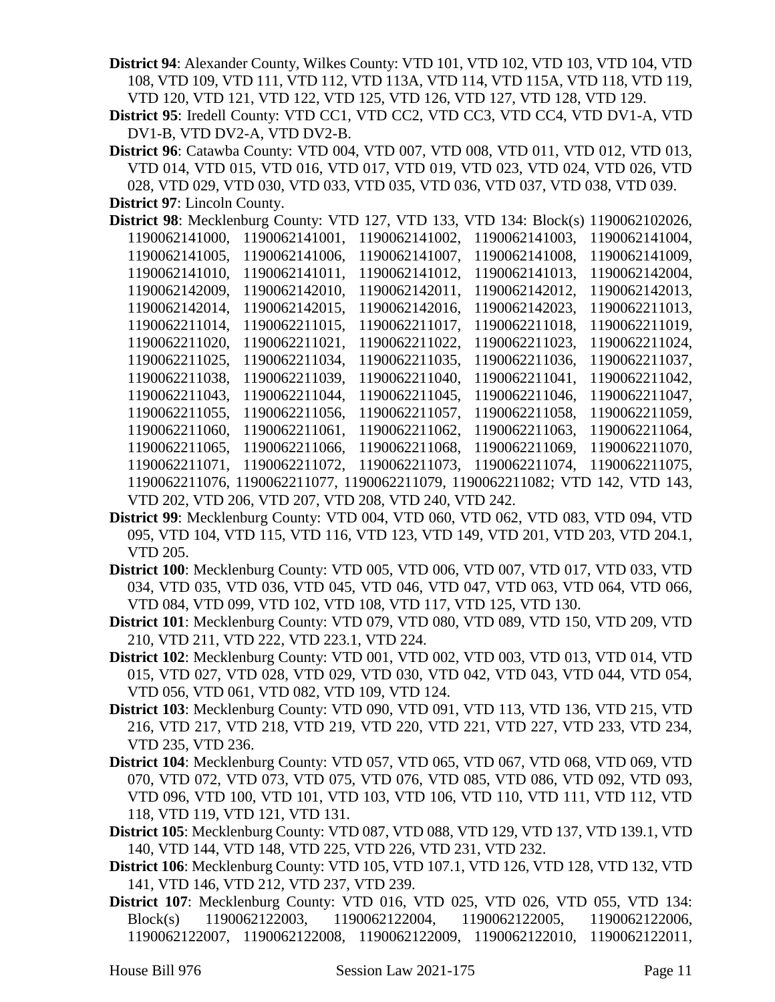**District 94**: Alexander County, Wilkes County: VTD 101, VTD 102, VTD 103, VTD 104, VTD 108, VTD 109, VTD 111, VTD 112, VTD 113A, VTD 114, VTD 115A, VTD 118, VTD 119, VTD 120, VTD 121, VTD 122, VTD 125, VTD 126, VTD 127, VTD 128, VTD 129.

**District 95**: Iredell County: VTD CC1, VTD CC2, VTD CC3, VTD CC4, VTD DV1-A, VTD DV1-B, VTD DV2-A, VTD DV2-B.

**District 96**: Catawba County: VTD 004, VTD 007, VTD 008, VTD 011, VTD 012, VTD 013, VTD 014, VTD 015, VTD 016, VTD 017, VTD 019, VTD 023, VTD 024, VTD 026, VTD 028, VTD 029, VTD 030, VTD 033, VTD 035, VTD 036, VTD 037, VTD 038, VTD 039.

**District 97**: Lincoln County.

| <b>District 98</b> : Mecklenburg County: VTD 127, VTD 133, VTD 134: Block(s) 1190062102026, |                                                       |                |                                                                               |                |
|---------------------------------------------------------------------------------------------|-------------------------------------------------------|----------------|-------------------------------------------------------------------------------|----------------|
| 1190062141000,                                                                              | 1190062141001,                                        | 1190062141002. | 1190062141003.                                                                | 1190062141004, |
| 1190062141005,                                                                              | 1190062141006.                                        | 1190062141007. | 1190062141008.                                                                | 1190062141009, |
| 1190062141010,                                                                              | 1190062141011.                                        | 1190062141012. | 1190062141013.                                                                | 1190062142004, |
| 1190062142009,                                                                              | 1190062142010,                                        | 1190062142011, | 1190062142012,                                                                | 1190062142013. |
| 1190062142014,                                                                              | 1190062142015,                                        | 1190062142016, | 1190062142023,                                                                | 1190062211013, |
| 1190062211014,                                                                              | 1190062211015,                                        | 1190062211017, | 1190062211018,                                                                | 1190062211019, |
| 1190062211020,                                                                              | 1190062211021,                                        | 1190062211022. | 1190062211023.                                                                | 1190062211024, |
| 1190062211025,                                                                              | 1190062211034,                                        | 1190062211035. | 1190062211036,                                                                | 1190062211037, |
| 1190062211038,                                                                              | 1190062211039,                                        | 1190062211040, | 1190062211041,                                                                | 1190062211042, |
| 1190062211043.                                                                              | 1190062211044,                                        | 1190062211045. | 1190062211046,                                                                | 1190062211047, |
| 1190062211055,                                                                              | 1190062211056,                                        | 1190062211057, | 1190062211058,                                                                | 1190062211059, |
| 1190062211060,                                                                              | 1190062211061,                                        | 1190062211062. | 1190062211063.                                                                | 1190062211064, |
| 1190062211065,                                                                              | 1190062211066.                                        | 1190062211068. | 1190062211069,                                                                | 1190062211070. |
| 1190062211071.                                                                              | 1190062211072.                                        | 1190062211073. | 1190062211074,                                                                | 1190062211075, |
|                                                                                             |                                                       |                | 1190062211076, 1190062211077, 1190062211079, 1190062211082; VTD 142, VTD 143, |                |
|                                                                                             | VTD 202, VTD 206, VTD 207, VTD 208, VTD 240, VTD 242. |                |                                                                               |                |

- **District 99**: Mecklenburg County: VTD 004, VTD 060, VTD 062, VTD 083, VTD 094, VTD 095, VTD 104, VTD 115, VTD 116, VTD 123, VTD 149, VTD 201, VTD 203, VTD 204.1, VTD 205.
- **District 100**: Mecklenburg County: VTD 005, VTD 006, VTD 007, VTD 017, VTD 033, VTD 034, VTD 035, VTD 036, VTD 045, VTD 046, VTD 047, VTD 063, VTD 064, VTD 066, VTD 084, VTD 099, VTD 102, VTD 108, VTD 117, VTD 125, VTD 130.
- **District 101**: Mecklenburg County: VTD 079, VTD 080, VTD 089, VTD 150, VTD 209, VTD 210, VTD 211, VTD 222, VTD 223.1, VTD 224.
- **District 102**: Mecklenburg County: VTD 001, VTD 002, VTD 003, VTD 013, VTD 014, VTD 015, VTD 027, VTD 028, VTD 029, VTD 030, VTD 042, VTD 043, VTD 044, VTD 054, VTD 056, VTD 061, VTD 082, VTD 109, VTD 124.
- **District 103**: Mecklenburg County: VTD 090, VTD 091, VTD 113, VTD 136, VTD 215, VTD 216, VTD 217, VTD 218, VTD 219, VTD 220, VTD 221, VTD 227, VTD 233, VTD 234, VTD 235, VTD 236.
- **District 104**: Mecklenburg County: VTD 057, VTD 065, VTD 067, VTD 068, VTD 069, VTD 070, VTD 072, VTD 073, VTD 075, VTD 076, VTD 085, VTD 086, VTD 092, VTD 093, VTD 096, VTD 100, VTD 101, VTD 103, VTD 106, VTD 110, VTD 111, VTD 112, VTD 118, VTD 119, VTD 121, VTD 131.
- **District 105**: Mecklenburg County: VTD 087, VTD 088, VTD 129, VTD 137, VTD 139.1, VTD 140, VTD 144, VTD 148, VTD 225, VTD 226, VTD 231, VTD 232.
- **District 106**: Mecklenburg County: VTD 105, VTD 107.1, VTD 126, VTD 128, VTD 132, VTD 141, VTD 146, VTD 212, VTD 237, VTD 239.
- **District 107**: Mecklenburg County: VTD 016, VTD 025, VTD 026, VTD 055, VTD 134: Block(s) 1190062122003, 1190062122004, 1190062122005, 1190062122006, 1190062122007, 1190062122008, 1190062122009, 1190062122010, 1190062122011,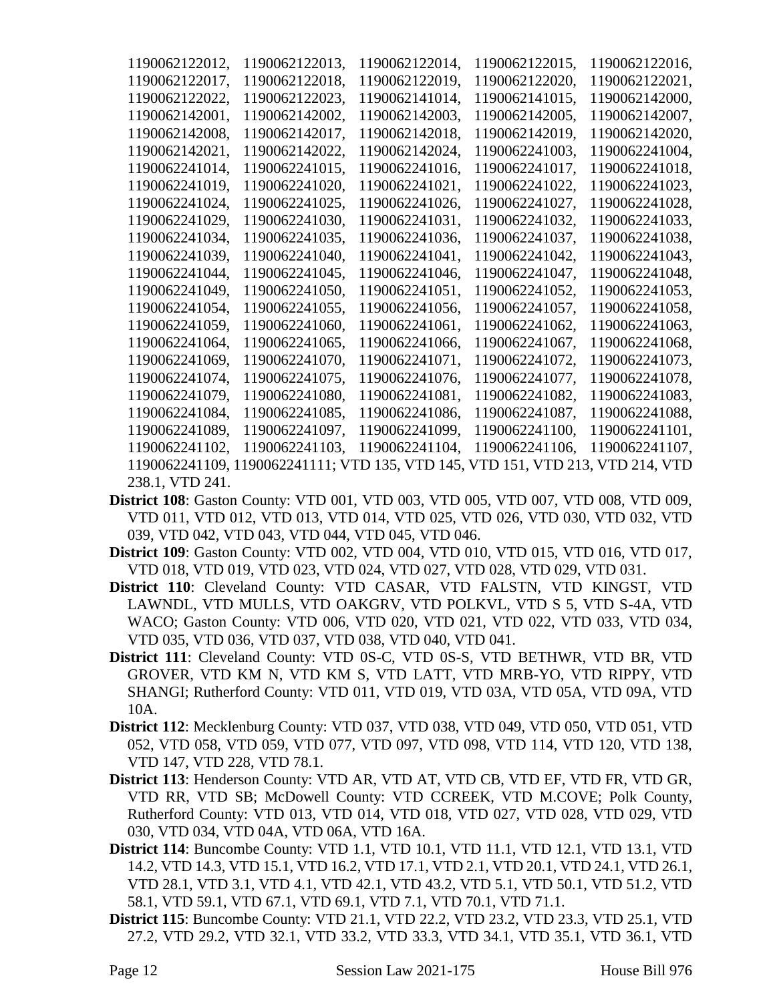| 1190062122012,  | 1190062122013, | 1190062122014, | 1190062122015.                                                                 | 1190062122016. |
|-----------------|----------------|----------------|--------------------------------------------------------------------------------|----------------|
| 1190062122017,  | 1190062122018. | 1190062122019, | 1190062122020.                                                                 | 1190062122021, |
| 1190062122022,  | 1190062122023, | 1190062141014, | 1190062141015,                                                                 | 1190062142000. |
| 1190062142001,  | 1190062142002, | 1190062142003, | 1190062142005.                                                                 | 1190062142007. |
| 1190062142008,  | 1190062142017, | 1190062142018, | 1190062142019,                                                                 | 1190062142020. |
| 1190062142021,  | 1190062142022, | 1190062142024, | 1190062241003,                                                                 | 1190062241004, |
| 1190062241014,  | 1190062241015, | 1190062241016, | 1190062241017,                                                                 | 1190062241018, |
| 1190062241019,  | 1190062241020, | 1190062241021, | 1190062241022,                                                                 | 1190062241023, |
| 1190062241024,  | 1190062241025, | 1190062241026, | 1190062241027,                                                                 | 1190062241028, |
| 1190062241029,  | 1190062241030, | 1190062241031, | 1190062241032.                                                                 | 1190062241033, |
| 1190062241034,  | 1190062241035, | 1190062241036, | 1190062241037,                                                                 | 1190062241038, |
| 1190062241039,  | 1190062241040, | 1190062241041, | 1190062241042,                                                                 | 1190062241043, |
| 1190062241044,  | 1190062241045, | 1190062241046, | 1190062241047,                                                                 | 1190062241048, |
| 1190062241049,  | 1190062241050, | 1190062241051, | 1190062241052,                                                                 | 1190062241053, |
| 1190062241054,  | 1190062241055, | 1190062241056. | 1190062241057,                                                                 | 1190062241058. |
| 1190062241059,  | 1190062241060, | 1190062241061, | 1190062241062,                                                                 | 1190062241063, |
| 1190062241064,  | 1190062241065, | 1190062241066, | 1190062241067,                                                                 | 1190062241068, |
| 1190062241069.  | 1190062241070. | 1190062241071, | 1190062241072.                                                                 | 1190062241073. |
| 1190062241074,  | 1190062241075. | 1190062241076. | 1190062241077.                                                                 | 1190062241078. |
| 1190062241079.  | 1190062241080, | 1190062241081, | 1190062241082.                                                                 | 1190062241083. |
| 1190062241084,  | 1190062241085, | 1190062241086, | 1190062241087,                                                                 | 1190062241088, |
| 1190062241089,  | 1190062241097. | 1190062241099, | 1190062241100,                                                                 | 1190062241101, |
| 1190062241102.  | 1190062241103. | 1190062241104. | 1190062241106.                                                                 | 1190062241107. |
|                 |                |                | 1190062241109, 1190062241111; VTD 135, VTD 145, VTD 151, VTD 213, VTD 214, VTD |                |
| 238.1, VTD 241. |                |                |                                                                                |                |

- **District 108**: Gaston County: VTD 001, VTD 003, VTD 005, VTD 007, VTD 008, VTD 009, VTD 011, VTD 012, VTD 013, VTD 014, VTD 025, VTD 026, VTD 030, VTD 032, VTD 039, VTD 042, VTD 043, VTD 044, VTD 045, VTD 046.
- **District 109**: Gaston County: VTD 002, VTD 004, VTD 010, VTD 015, VTD 016, VTD 017, VTD 018, VTD 019, VTD 023, VTD 024, VTD 027, VTD 028, VTD 029, VTD 031.
- **District 110**: Cleveland County: VTD CASAR, VTD FALSTN, VTD KINGST, VTD LAWNDL, VTD MULLS, VTD OAKGRV, VTD POLKVL, VTD S 5, VTD S-4A, VTD WACO; Gaston County: VTD 006, VTD 020, VTD 021, VTD 022, VTD 033, VTD 034, VTD 035, VTD 036, VTD 037, VTD 038, VTD 040, VTD 041.
- **District 111**: Cleveland County: VTD 0S-C, VTD 0S-S, VTD BETHWR, VTD BR, VTD GROVER, VTD KM N, VTD KM S, VTD LATT, VTD MRB-YO, VTD RIPPY, VTD SHANGI; Rutherford County: VTD 011, VTD 019, VTD 03A, VTD 05A, VTD 09A, VTD 10A.
- **District 112**: Mecklenburg County: VTD 037, VTD 038, VTD 049, VTD 050, VTD 051, VTD 052, VTD 058, VTD 059, VTD 077, VTD 097, VTD 098, VTD 114, VTD 120, VTD 138, VTD 147, VTD 228, VTD 78.1.
- **District 113**: Henderson County: VTD AR, VTD AT, VTD CB, VTD EF, VTD FR, VTD GR, VTD RR, VTD SB; McDowell County: VTD CCREEK, VTD M.COVE; Polk County, Rutherford County: VTD 013, VTD 014, VTD 018, VTD 027, VTD 028, VTD 029, VTD 030, VTD 034, VTD 04A, VTD 06A, VTD 16A.
- **District 114**: Buncombe County: VTD 1.1, VTD 10.1, VTD 11.1, VTD 12.1, VTD 13.1, VTD 14.2, VTD 14.3, VTD 15.1, VTD 16.2, VTD 17.1, VTD 2.1, VTD 20.1, VTD 24.1, VTD 26.1, VTD 28.1, VTD 3.1, VTD 4.1, VTD 42.1, VTD 43.2, VTD 5.1, VTD 50.1, VTD 51.2, VTD 58.1, VTD 59.1, VTD 67.1, VTD 69.1, VTD 7.1, VTD 70.1, VTD 71.1.
- **District 115**: Buncombe County: VTD 21.1, VTD 22.2, VTD 23.2, VTD 23.3, VTD 25.1, VTD 27.2, VTD 29.2, VTD 32.1, VTD 33.2, VTD 33.3, VTD 34.1, VTD 35.1, VTD 36.1, VTD